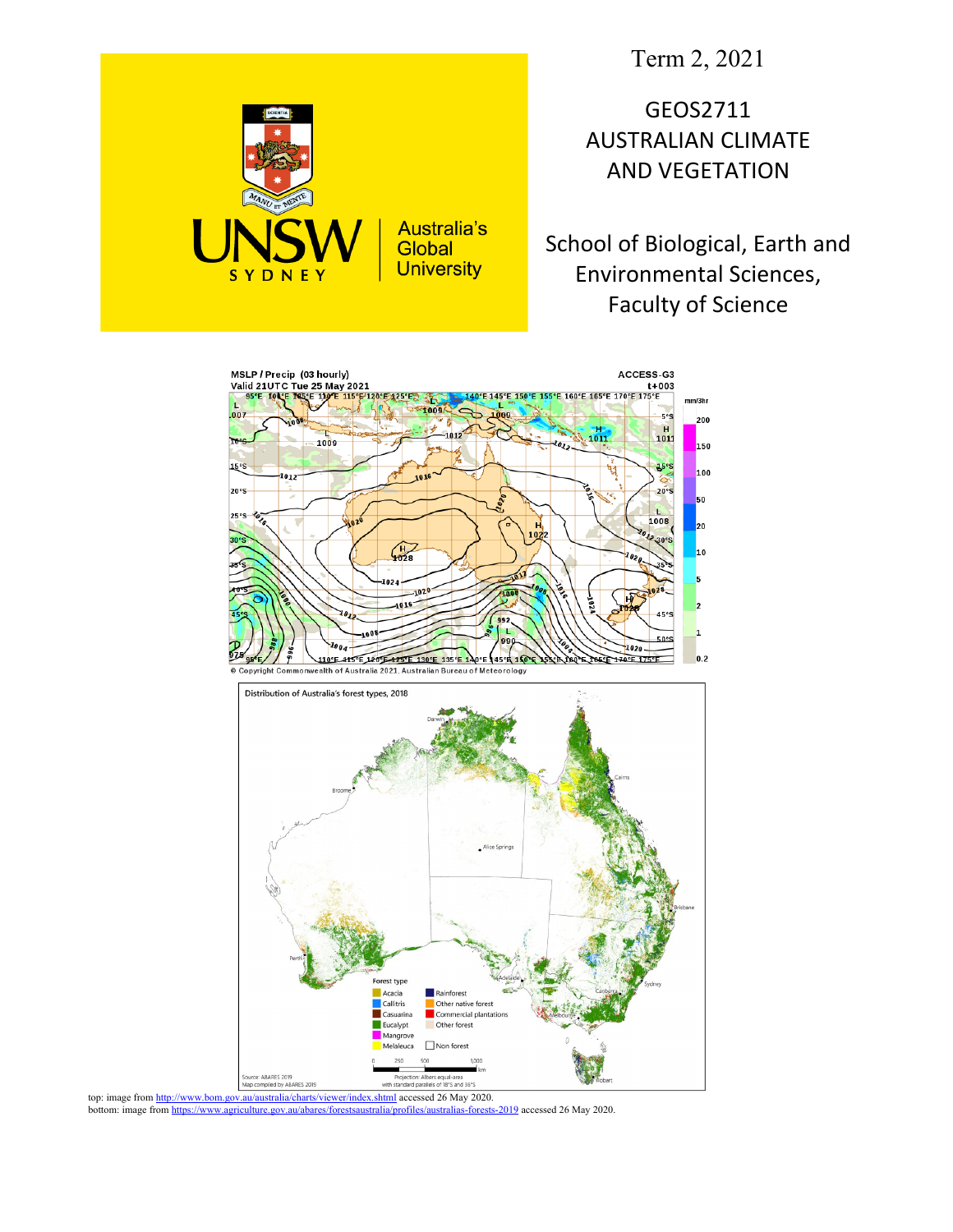Term 2, 2021

GEOS2711 AUSTRALIAN CLIMATE AND VEGETATION

School of Biological, Earth and Environmental Sciences, Faculty of Science



**Australia's** Global **University** 

**NEY** 

S

D Y

top: image fro[m http://www.bom.gov.au/australia/charts/viewer/index.shtml](http://www.bom.gov.au/australia/charts/viewer/index.shtml) accessed 26 May 2020.<br>bottom: image from https://www.agriculture.gov.au/abares/forestsaustralia/profiles/australias-forests bottom: imaginalizure.gov.australias-forests-2019 accessed 26 May 2020.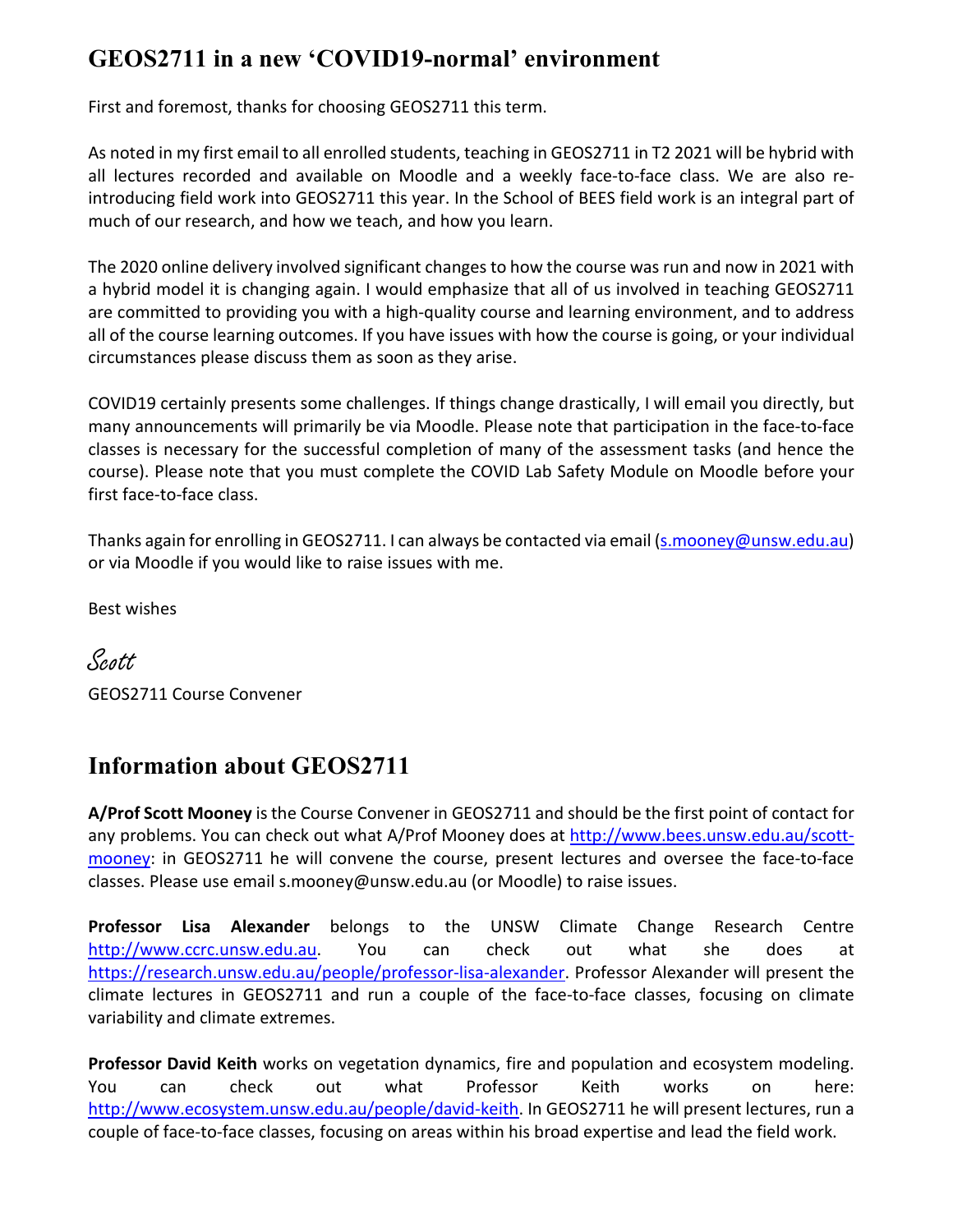### **GEOS2711 in a new 'COVID19-normal' environment**

First and foremost, thanks for choosing GEOS2711 this term.

As noted in my first email to all enrolled students, teaching in GEOS2711 in T2 2021 will be hybrid with all lectures recorded and available on Moodle and a weekly face-to-face class. We are also reintroducing field work into GEOS2711 this year. In the School of BEES field work is an integral part of much of our research, and how we teach, and how you learn.

The 2020 online delivery involved significant changes to how the course was run and now in 2021 with a hybrid model it is changing again. I would emphasize that all of us involved in teaching GEOS2711 are committed to providing you with a high-quality course and learning environment, and to address all of the course learning outcomes. If you have issues with how the course is going, or your individual circumstances please discuss them as soon as they arise.

COVID19 certainly presents some challenges. If things change drastically, I will email you directly, but many announcements will primarily be via Moodle. Please note that participation in the face-to-face classes is necessary for the successful completion of many of the assessment tasks (and hence the course). Please note that you must complete the COVID Lab Safety Module on Moodle before your first face-to-face class.

Thanks again for enrolling in GEOS2711. I can always be contacted via email [\(s.mooney@unsw.edu.au\)](mailto:s.mooney@unsw.edu.au) or via Moodle if you would like to raise issues with me.

Best wishes

Scott GEOS2711 Course Convener

### **Information about GEOS2711**

**A/Prof Scott Mooney** is the Course Convener in GEOS2711 and should be the first point of contact for any problems. You can check out what A/Prof Mooney does at [http://www.bees.unsw.edu.au/scott](http://www.bees.unsw.edu.au/scott-mooney)[mooney:](http://www.bees.unsw.edu.au/scott-mooney) in GEOS2711 he will convene the course, present lectures and oversee the face-to-face classes. Please use email s.mooney@unsw.edu.au (or Moodle) to raise issues.

**Professor Lisa Alexander** belongs to the UNSW Climate Change Research Centre [http://www.ccrc.unsw.edu.au.](http://www.ccrc.unsw.edu.au/) You can check out what she does at [https://research.unsw.edu.au/people/professor-lisa-alexander.](https://research.unsw.edu.au/people/professor-lisa-alexander) Professor Alexander will present the climate lectures in GEOS2711 and run a couple of the face-to-face classes, focusing on climate variability and climate extremes.

**Professor David Keith** works on vegetation dynamics, fire and population and ecosystem modeling. You can check out what Professor Keith works on here: [http://www.ecosystem.unsw.edu.au/people/david-keith.](http://www.ecosystem.unsw.edu.au/people/david-keith) In GEOS2711 he will present lectures, run a couple of face-to-face classes, focusing on areas within his broad expertise and lead the field work.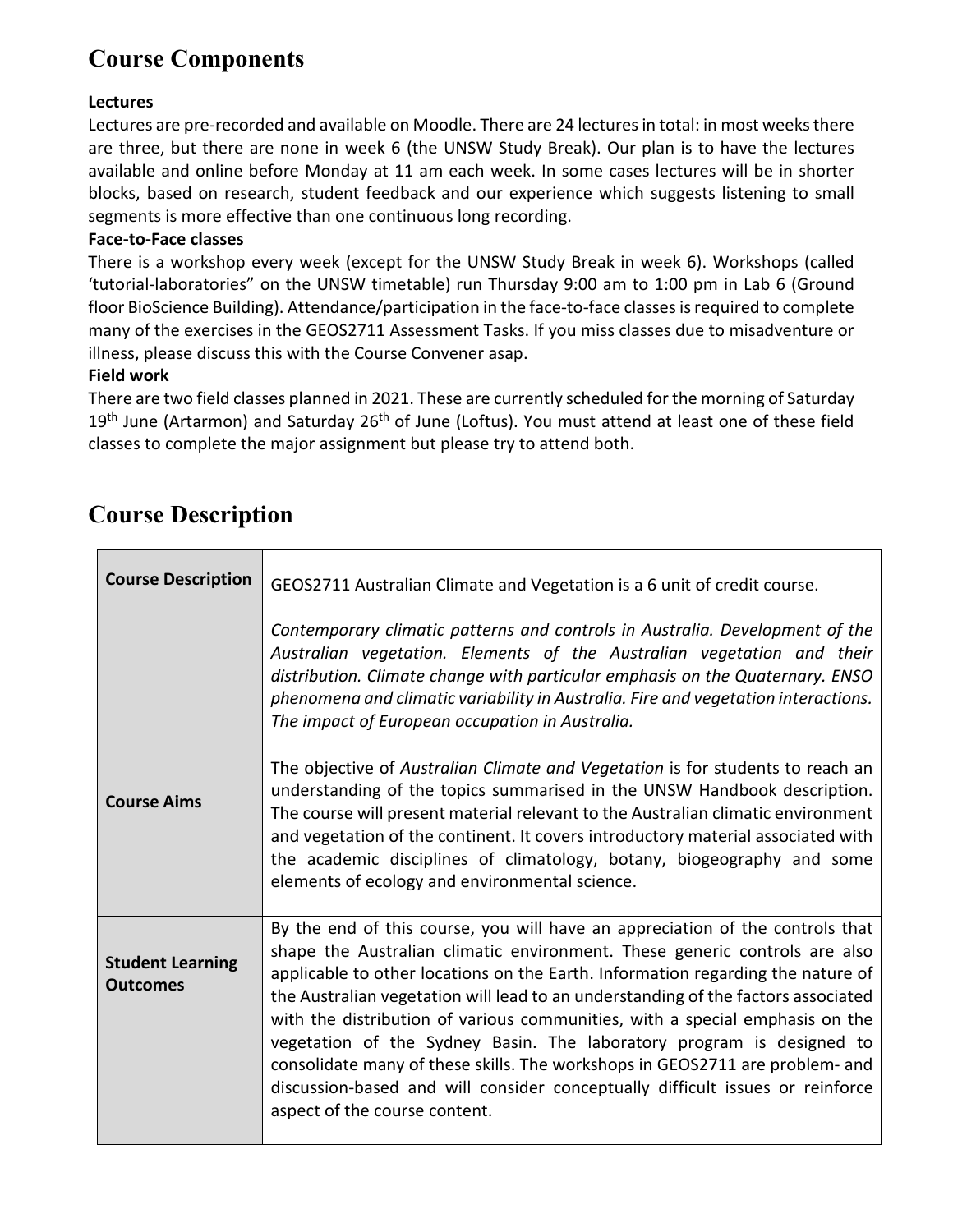# **Course Components**

#### **Lectures**

Lectures are pre-recorded and available on Moodle. There are 24 lectures in total: in most weeks there are three, but there are none in week 6 (the UNSW Study Break). Our plan is to have the lectures available and online before Monday at 11 am each week. In some cases lectures will be in shorter blocks, based on research, student feedback and our experience which suggests listening to small segments is more effective than one continuous long recording.

#### **Face-to-Face classes**

There is a workshop every week (except for the UNSW Study Break in week 6). Workshops (called 'tutorial-laboratories" on the UNSW timetable) run Thursday 9:00 am to 1:00 pm in Lab 6 (Ground floor BioScience Building). Attendance/participation in the face-to-face classesis required to complete many of the exercises in the GEOS2711 Assessment Tasks. If you miss classes due to misadventure or illness, please discuss this with the Course Convener asap.

#### **Field work**

There are two field classes planned in 2021. These are currently scheduled for the morning of Saturday 19<sup>th</sup> June (Artarmon) and Saturday 26<sup>th</sup> of June (Loftus). You must attend at least one of these field classes to complete the major assignment but please try to attend both.

## **Course Description**

| <b>Course Description</b>                  | GEOS2711 Australian Climate and Vegetation is a 6 unit of credit course.<br>Contemporary climatic patterns and controls in Australia. Development of the<br>Australian vegetation. Elements of the Australian vegetation and their<br>distribution. Climate change with particular emphasis on the Quaternary. ENSO<br>phenomena and climatic variability in Australia. Fire and vegetation interactions.<br>The impact of European occupation in Australia.                                                                                                                                                                                                                                   |  |  |  |
|--------------------------------------------|------------------------------------------------------------------------------------------------------------------------------------------------------------------------------------------------------------------------------------------------------------------------------------------------------------------------------------------------------------------------------------------------------------------------------------------------------------------------------------------------------------------------------------------------------------------------------------------------------------------------------------------------------------------------------------------------|--|--|--|
| <b>Course Aims</b>                         | The objective of Australian Climate and Vegetation is for students to reach an<br>understanding of the topics summarised in the UNSW Handbook description.<br>The course will present material relevant to the Australian climatic environment<br>and vegetation of the continent. It covers introductory material associated with<br>the academic disciplines of climatology, botany, biogeography and some<br>elements of ecology and environmental science.                                                                                                                                                                                                                                 |  |  |  |
| <b>Student Learning</b><br><b>Outcomes</b> | By the end of this course, you will have an appreciation of the controls that<br>shape the Australian climatic environment. These generic controls are also<br>applicable to other locations on the Earth. Information regarding the nature of<br>the Australian vegetation will lead to an understanding of the factors associated<br>with the distribution of various communities, with a special emphasis on the<br>vegetation of the Sydney Basin. The laboratory program is designed to<br>consolidate many of these skills. The workshops in GEOS2711 are problem- and<br>discussion-based and will consider conceptually difficult issues or reinforce<br>aspect of the course content. |  |  |  |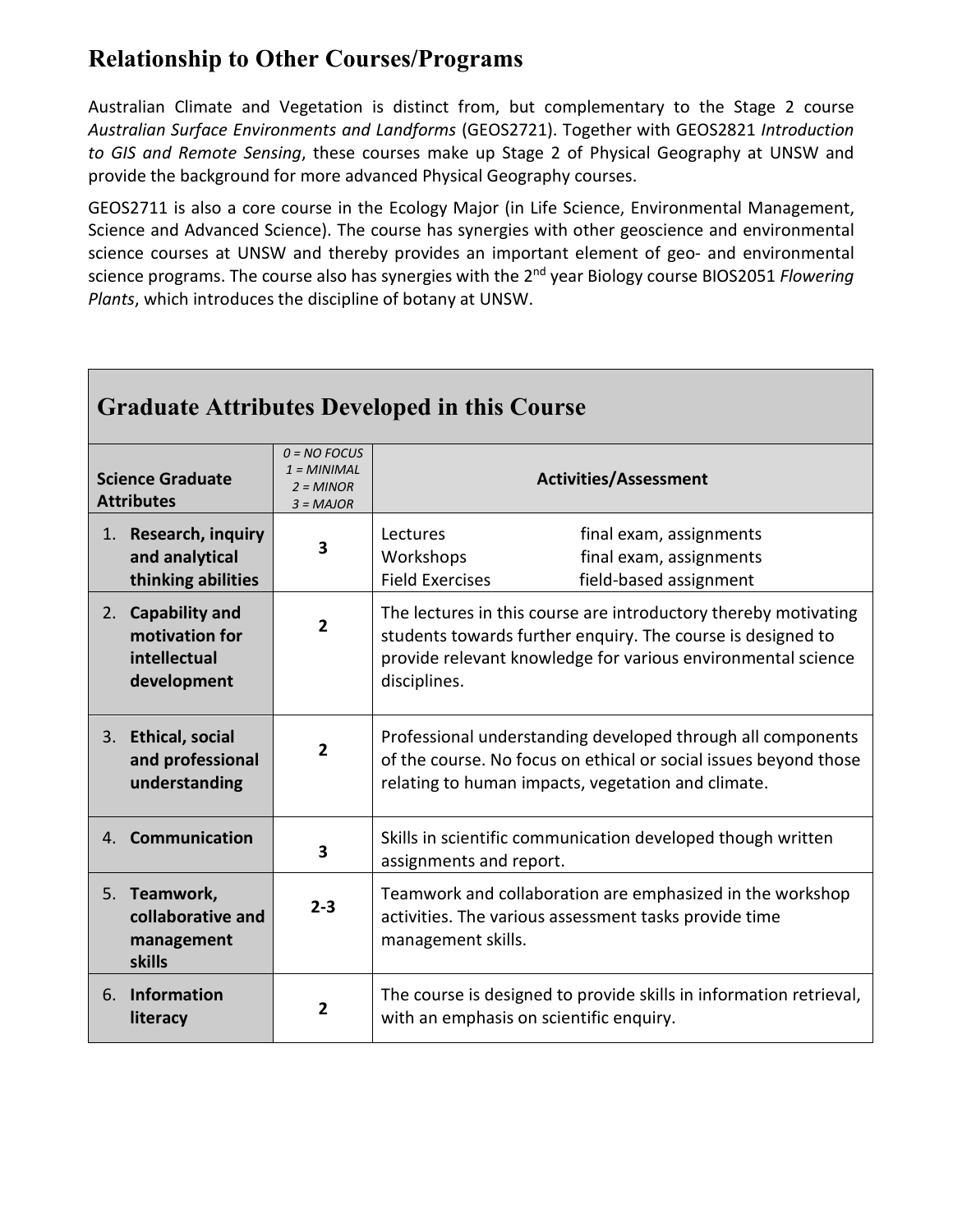### **Relationship to Other Courses/Programs**

Australian Climate and Vegetation is distinct from, but complementary to the Stage 2 course *Australian Surface Environments and Landforms* (GEOS2721). Together with GEOS2821 *Introduction to GIS and Remote Sensing*, these courses make up Stage 2 of Physical Geography at UNSW and provide the background for more advanced Physical Geography courses.

GEOS2711 is also a core course in the Ecology Major (in Life Science, Environmental Management, Science and Advanced Science). The course has synergies with other geoscience and environmental science courses at UNSW and thereby provides an important element of geo- and environmental science programs. The course also has synergies with the 2nd year Biology course BIOS2051 *Flowering Plants*, which introduces the discipline of botany at UNSW.

| <b>Graduate Attributes Developed in this Course</b> |                                                                    |                                                               |                                                                                                                                                                                                                |  |  |  |  |
|-----------------------------------------------------|--------------------------------------------------------------------|---------------------------------------------------------------|----------------------------------------------------------------------------------------------------------------------------------------------------------------------------------------------------------------|--|--|--|--|
|                                                     | <b>Science Graduate</b><br><b>Attributes</b>                       | $0 = NO$ FOCUS<br>$1 = MINIMAL$<br>$2 = MINOR$<br>$3 = MAJOR$ | <b>Activities/Assessment</b>                                                                                                                                                                                   |  |  |  |  |
|                                                     | 1. Research, inquiry<br>and analytical<br>thinking abilities       | $\overline{\mathbf{3}}$                                       | Lectures<br>final exam, assignments<br>Workshops<br>final exam, assignments<br><b>Field Exercises</b><br>field-based assignment                                                                                |  |  |  |  |
|                                                     | 2. Capability and<br>motivation for<br>intellectual<br>development | $\overline{2}$                                                | The lectures in this course are introductory thereby motivating<br>students towards further enquiry. The course is designed to<br>provide relevant knowledge for various environmental science<br>disciplines. |  |  |  |  |
| 3.                                                  | <b>Ethical, social</b><br>and professional<br>understanding        | $\overline{2}$                                                | Professional understanding developed through all components<br>of the course. No focus on ethical or social issues beyond those<br>relating to human impacts, vegetation and climate.                          |  |  |  |  |
|                                                     | 4. Communication                                                   | 3                                                             | Skills in scientific communication developed though written<br>assignments and report.                                                                                                                         |  |  |  |  |
|                                                     | 5. Teamwork,<br>collaborative and<br>management<br>skills          | $2 - 3$                                                       | Teamwork and collaboration are emphasized in the workshop<br>activities. The various assessment tasks provide time<br>management skills.                                                                       |  |  |  |  |
| 6.                                                  | <b>Information</b><br>literacy                                     | $\overline{2}$                                                | The course is designed to provide skills in information retrieval,<br>with an emphasis on scientific enquiry.                                                                                                  |  |  |  |  |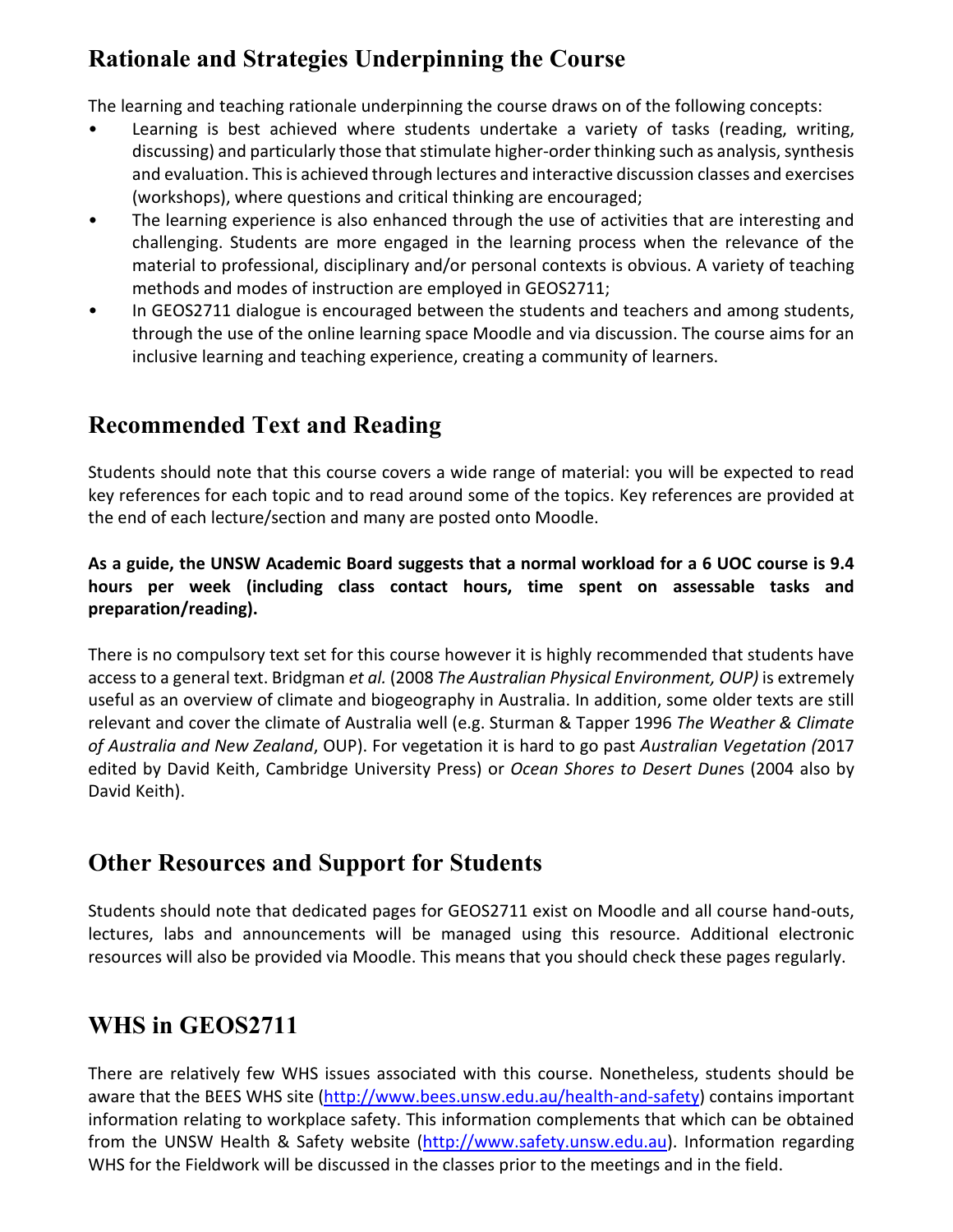## **Rationale and Strategies Underpinning the Course**

The learning and teaching rationale underpinning the course draws on of the following concepts:

- Learning is best achieved where students undertake a variety of tasks (reading, writing, discussing) and particularly those that stimulate higher-order thinking such as analysis, synthesis and evaluation. This is achieved through lectures and interactive discussion classes and exercises (workshops), where questions and critical thinking are encouraged;
- The learning experience is also enhanced through the use of activities that are interesting and challenging. Students are more engaged in the learning process when the relevance of the material to professional, disciplinary and/or personal contexts is obvious. A variety of teaching methods and modes of instruction are employed in GEOS2711;
- In GEOS2711 dialogue is encouraged between the students and teachers and among students, through the use of the online learning space Moodle and via discussion. The course aims for an inclusive learning and teaching experience, creating a community of learners.

# **Recommended Text and Reading**

Students should note that this course covers a wide range of material: you will be expected to read key references for each topic and to read around some of the topics. Key references are provided at the end of each lecture/section and many are posted onto Moodle.

#### **As a guide, the UNSW Academic Board suggests that a normal workload for a 6 UOC course is 9.4 hours per week (including class contact hours, time spent on assessable tasks and preparation/reading).**

There is no compulsory text set for this course however it is highly recommended that students have access to a general text. Bridgman *et al.* (2008 *The Australian Physical Environment, OUP)* is extremely useful as an overview of climate and biogeography in Australia. In addition, some older texts are still relevant and cover the climate of Australia well (e.g. Sturman & Tapper 1996 *The Weather & Climate of Australia and New Zealand*, OUP). For vegetation it is hard to go past *Australian Vegetation (*2017 edited by David Keith, Cambridge University Press) or *Ocean Shores to Desert Dune*s (2004 also by David Keith).

## **Other Resources and Support for Students**

Students should note that dedicated pages for GEOS2711 exist on Moodle and all course hand-outs, lectures, labs and announcements will be managed using this resource. Additional electronic resources will also be provided via Moodle. This means that you should check these pages regularly.

# **WHS in GEOS2711**

There are relatively few WHS issues associated with this course. Nonetheless, students should be aware that the BEES WHS site [\(http://www.bees.unsw.edu.au/health-and-safety\)](http://www.bees.unsw.edu.au/health-and-safety) contains important information relating to workplace safety. This information complements that which can be obtained from the UNSW Health & Safety website [\(http://www.safety.unsw.edu.au\)](http://www.safety.unsw.edu.au/). Information regarding WHS for the Fieldwork will be discussed in the classes prior to the meetings and in the field.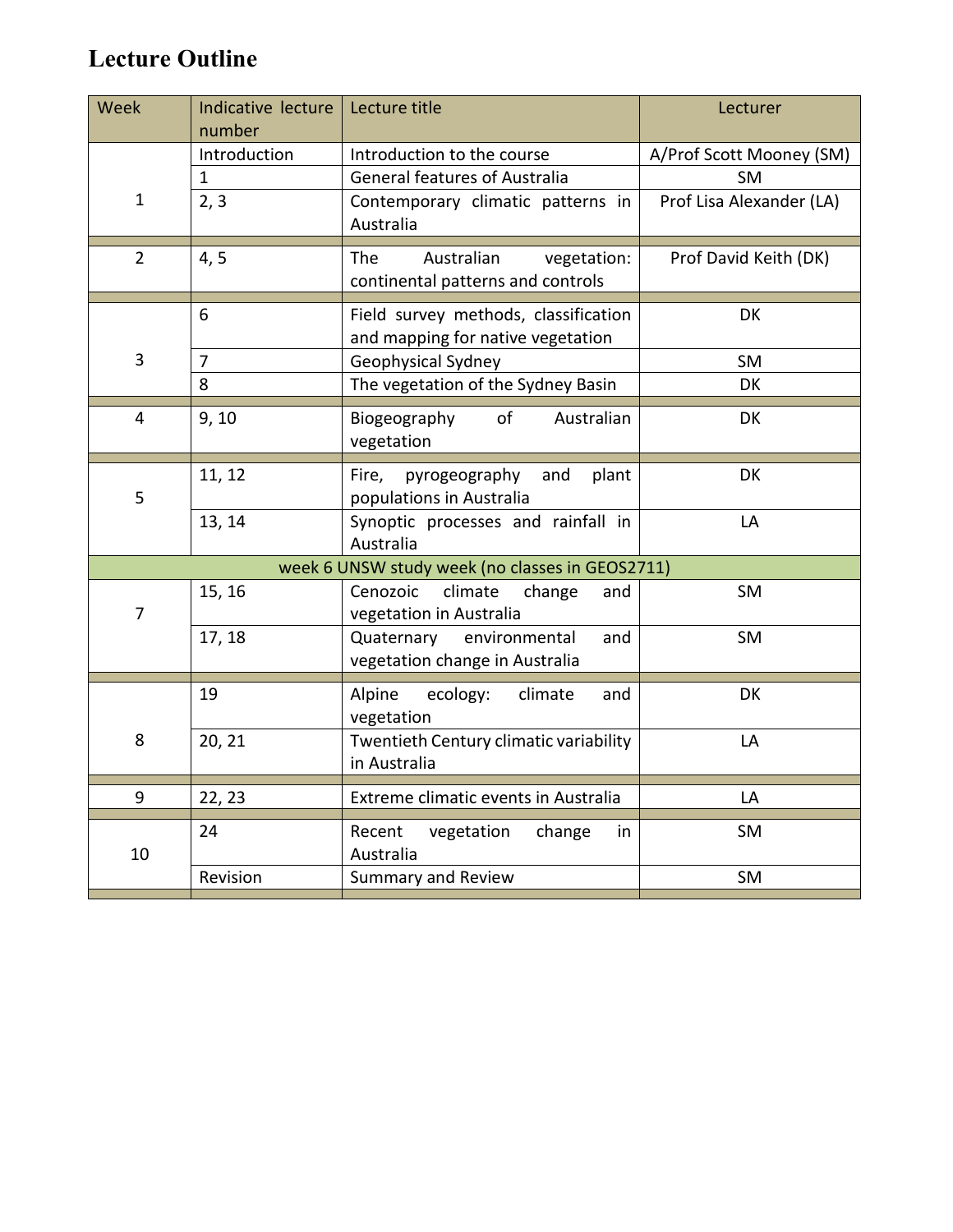# **Lecture Outline**

| Week           | Indicative lecture<br>number | Lecture title                                                             | Lecturer                 |
|----------------|------------------------------|---------------------------------------------------------------------------|--------------------------|
|                | Introduction                 | Introduction to the course                                                | A/Prof Scott Mooney (SM) |
|                | $\mathbf{1}$                 | <b>General features of Australia</b>                                      | <b>SM</b>                |
| $\mathbf{1}$   | 2, 3                         | Contemporary climatic patterns in<br>Australia                            | Prof Lisa Alexander (LA) |
| $\overline{2}$ | 4, 5                         | Australian<br>vegetation:<br>The<br>continental patterns and controls     | Prof David Keith (DK)    |
|                | 6                            | Field survey methods, classification<br>and mapping for native vegetation | DK                       |
| 3              | $\overline{7}$               | Geophysical Sydney                                                        | <b>SM</b>                |
|                | 8                            | The vegetation of the Sydney Basin                                        | <b>DK</b>                |
| $\overline{4}$ | 9, 10                        | of<br>Biogeography<br>Australian<br>vegetation                            | DK                       |
| 5              | 11, 12                       | Fire,<br>pyrogeography<br>and<br>plant<br>populations in Australia        | DK                       |
|                | 13, 14                       | Synoptic processes and rainfall in<br>Australia                           | LA                       |
|                |                              | week 6 UNSW study week (no classes in GEOS2711)                           |                          |
| $\overline{7}$ | 15, 16                       | Cenozoic<br>climate<br>change<br>and<br>vegetation in Australia           | SM                       |
|                | 17, 18                       | Quaternary<br>environmental<br>and<br>vegetation change in Australia      | SM                       |
|                | 19                           | Alpine<br>ecology:<br>climate<br>and<br>vegetation                        | <b>DK</b>                |
| 8              | 20, 21                       | Twentieth Century climatic variability<br>in Australia                    | LA                       |
| 9              | 22, 23                       | Extreme climatic events in Australia                                      | LA                       |
| 10             | 24                           | Recent<br>vegetation<br>change<br>in.<br>Australia                        | <b>SM</b>                |
|                | Revision                     | <b>Summary and Review</b>                                                 | <b>SM</b>                |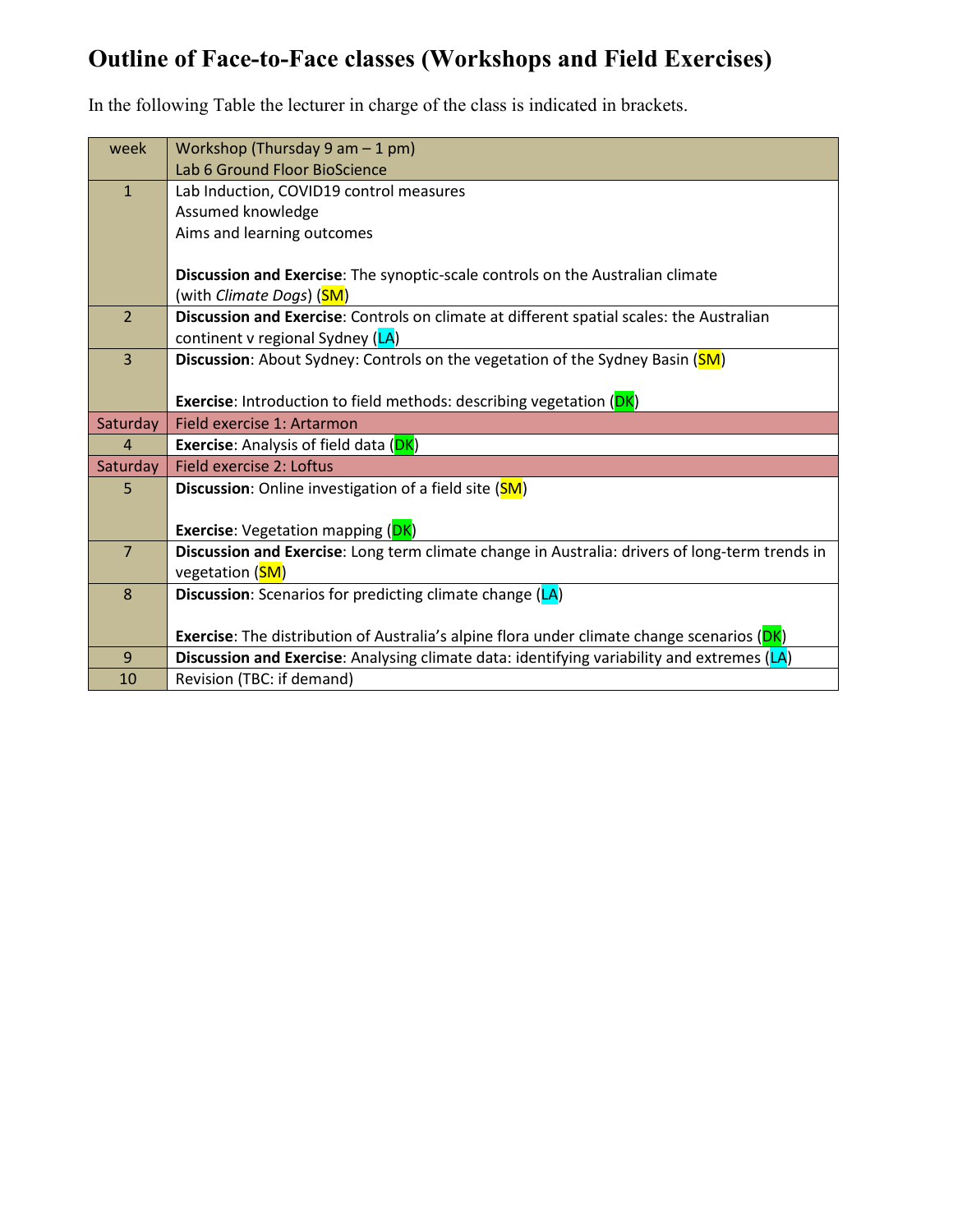# **Outline of Face-to-Face classes (Workshops and Field Exercises)**

In the following Table the lecturer in charge of the class is indicated in brackets.

| week           | Workshop (Thursday 9 am $-1$ pm)                                                                  |
|----------------|---------------------------------------------------------------------------------------------------|
|                | Lab 6 Ground Floor BioScience                                                                     |
| $\mathbf{1}$   | Lab Induction, COVID19 control measures                                                           |
|                | Assumed knowledge                                                                                 |
|                | Aims and learning outcomes                                                                        |
|                |                                                                                                   |
|                | Discussion and Exercise: The synoptic-scale controls on the Australian climate                    |
|                | (with Climate Dogs) (SM)                                                                          |
| $\overline{2}$ | Discussion and Exercise: Controls on climate at different spatial scales: the Australian          |
|                | continent v regional Sydney (LA)                                                                  |
| $\overline{3}$ | Discussion: About Sydney: Controls on the vegetation of the Sydney Basin (SM)                     |
|                |                                                                                                   |
|                | <b>Exercise:</b> Introduction to field methods: describing vegetation (DK)                        |
| Saturday       | Field exercise 1: Artarmon                                                                        |
| 4              | <b>Exercise:</b> Analysis of field data (DK)                                                      |
| Saturday       | Field exercise 2: Loftus                                                                          |
| 5              | <b>Discussion:</b> Online investigation of a field site (SM)                                      |
|                |                                                                                                   |
|                | <b>Exercise:</b> Vegetation mapping (DK)                                                          |
| $\overline{7}$ | Discussion and Exercise: Long term climate change in Australia: drivers of long-term trends in    |
|                | vegetation (SM)                                                                                   |
| 8              | <b>Discussion:</b> Scenarios for predicting climate change (LA)                                   |
|                |                                                                                                   |
|                | <b>Exercise:</b> The distribution of Australia's alpine flora under climate change scenarios (DK) |
| 9              | Discussion and Exercise: Analysing climate data: identifying variability and extremes (LA)        |
| 10             | Revision (TBC: if demand)                                                                         |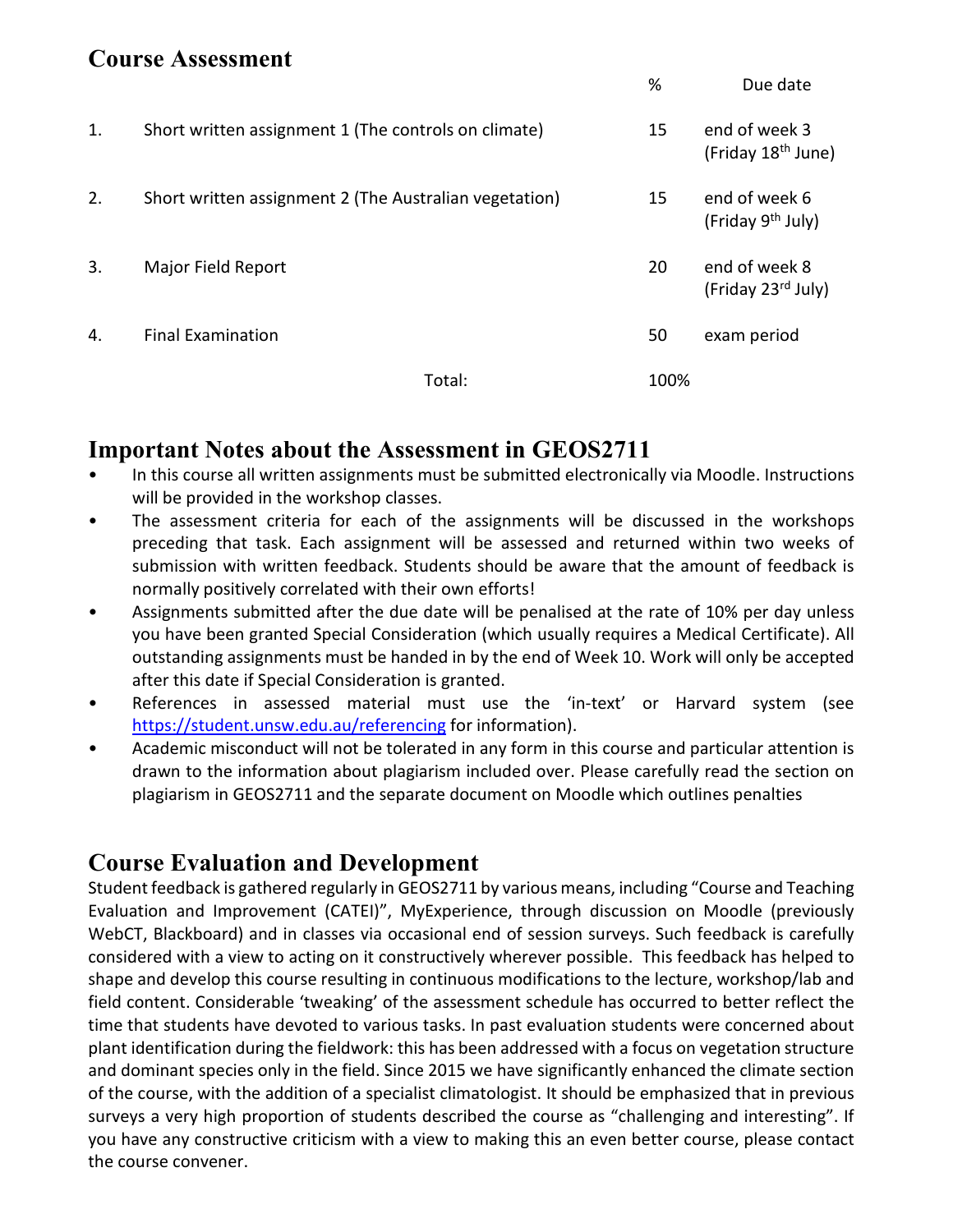### **Course Assessment**

|    |                                                        | %    | Due date                                        |
|----|--------------------------------------------------------|------|-------------------------------------------------|
| 1. | Short written assignment 1 (The controls on climate)   | 15   | end of week 3<br>(Friday 18 <sup>th</sup> June) |
| 2. | Short written assignment 2 (The Australian vegetation) | 15   | end of week 6<br>(Friday 9 <sup>th</sup> July)  |
| 3. | Major Field Report                                     | 20   | end of week 8<br>(Friday 23 <sup>rd</sup> July) |
| 4. | <b>Final Examination</b>                               | 50   | exam period                                     |
|    | Total:                                                 | 100% |                                                 |

### **Important Notes about the Assessment in GEOS2711**

- In this course all written assignments must be submitted electronically via Moodle. Instructions will be provided in the workshop classes.
- The assessment criteria for each of the assignments will be discussed in the workshops preceding that task. Each assignment will be assessed and returned within two weeks of submission with written feedback. Students should be aware that the amount of feedback is normally positively correlated with their own efforts!
- Assignments submitted after the due date will be penalised at the rate of 10% per day unless you have been granted Special Consideration (which usually requires a Medical Certificate). All outstanding assignments must be handed in by the end of Week 10. Work will only be accepted after this date if Special Consideration is granted.
- References in assessed material must use the 'in-text' or Harvard system (see <https://student.unsw.edu.au/referencing> for information).
- Academic misconduct will not be tolerated in any form in this course and particular attention is drawn to the information about plagiarism included over. Please carefully read the section on plagiarism in GEOS2711 and the separate document on Moodle which outlines penalties

### **Course Evaluation and Development**

Student feedback is gathered regularly in GEOS2711 by various means, including "Course and Teaching Evaluation and Improvement (CATEI)", MyExperience, through discussion on Moodle (previously WebCT, Blackboard) and in classes via occasional end of session surveys. Such feedback is carefully considered with a view to acting on it constructively wherever possible. This feedback has helped to shape and develop this course resulting in continuous modifications to the lecture, workshop/lab and field content. Considerable 'tweaking' of the assessment schedule has occurred to better reflect the time that students have devoted to various tasks. In past evaluation students were concerned about plant identification during the fieldwork: this has been addressed with a focus on vegetation structure and dominant species only in the field. Since 2015 we have significantly enhanced the climate section of the course, with the addition of a specialist climatologist. It should be emphasized that in previous surveys a very high proportion of students described the course as "challenging and interesting". If you have any constructive criticism with a view to making this an even better course, please contact the course convener.